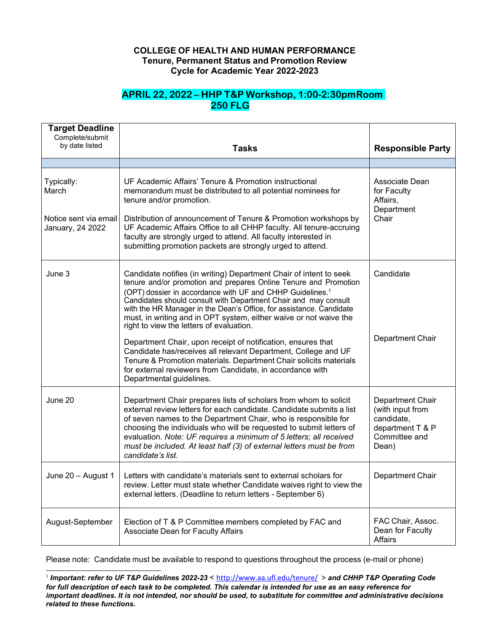## **COLLEGE OF HEALTH AND HUMAN PERFORMANCE Tenure, Permanent Status and Promotion Review Cycle for Academic Year 2022-2023**

## **APRIL 22, 2022 – HHP T&P Workshop, 1:00-2:30pmRoom 250 FLG**

| <b>Target Deadline</b><br>Complete/submit<br>by date listed      | <b>Tasks</b>                                                                                                                                                                                                                                                                                                                                                                                                                                                               | <b>Responsible Party</b>                                                                         |
|------------------------------------------------------------------|----------------------------------------------------------------------------------------------------------------------------------------------------------------------------------------------------------------------------------------------------------------------------------------------------------------------------------------------------------------------------------------------------------------------------------------------------------------------------|--------------------------------------------------------------------------------------------------|
|                                                                  |                                                                                                                                                                                                                                                                                                                                                                                                                                                                            |                                                                                                  |
| Typically:<br>March<br>Notice sent via email<br>January, 24 2022 | UF Academic Affairs' Tenure & Promotion instructional<br>memorandum must be distributed to all potential nominees for<br>tenure and/or promotion.<br>Distribution of announcement of Tenure & Promotion workshops by<br>UF Academic Affairs Office to all CHHP faculty. All tenure-accruing<br>faculty are strongly urged to attend. All faculty interested in<br>submitting promotion packets are strongly urged to attend.                                               | Associate Dean<br>for Faculty<br>Affairs,<br>Department<br>Chair                                 |
|                                                                  |                                                                                                                                                                                                                                                                                                                                                                                                                                                                            |                                                                                                  |
| June 3                                                           | Candidate notifies (in writing) Department Chair of intent to seek<br>tenure and/or promotion and prepares Online Tenure and Promotion<br>(OPT) dossier in accordance with UF and CHHP Guidelines. <sup>1</sup><br>Candidates should consult with Department Chair and may consult<br>with the HR Manager in the Dean's Office, for assistance. Candidate<br>must, in writing and in OPT system, either waive or not waive the<br>right to view the letters of evaluation. | Candidate                                                                                        |
|                                                                  | Department Chair, upon receipt of notification, ensures that<br>Candidate has/receives all relevant Department, College and UF<br>Tenure & Promotion materials. Department Chair solicits materials<br>for external reviewers from Candidate, in accordance with<br>Departmental guidelines.                                                                                                                                                                               | Department Chair                                                                                 |
| June 20                                                          | Department Chair prepares lists of scholars from whom to solicit<br>external review letters for each candidate. Candidate submits a list<br>of seven names to the Department Chair, who is responsible for<br>choosing the individuals who will be requested to submit letters of<br>evaluation. Note: UF requires a minimum of 5 letters; all received<br>must be included. At least half (3) of external letters must be from<br>candidate's list.                       | Department Chair<br>(with input from<br>candidate,<br>department T & P<br>Committee and<br>Dean) |
| June 20 - August 1                                               | Letters with candidate's materials sent to external scholars for<br>review. Letter must state whether Candidate waives right to view the<br>external letters. (Deadline to return letters - September 6)                                                                                                                                                                                                                                                                   | Department Chair                                                                                 |
| August-September                                                 | Election of T & P Committee members completed by FAC and<br>Associate Dean for Faculty Affairs                                                                                                                                                                                                                                                                                                                                                                             | FAC Chair, Assoc.<br>Dean for Faculty<br>Affairs                                                 |

Please note: Candidate must be available to respond to questions throughout the process (e-mail or phone)

<sup>1</sup> *Important: refer to UF T&P Guidelines 2022-23* < <http://www.aa.ufl.edu/tenure/> > *and CHHP T&P Operating Code for full description of each task to be completed. This calendar is intended for use as an easy reference for important deadlines. It is not intended, nor should be used, to substitute for committee and administrative decisions related to these functions.*